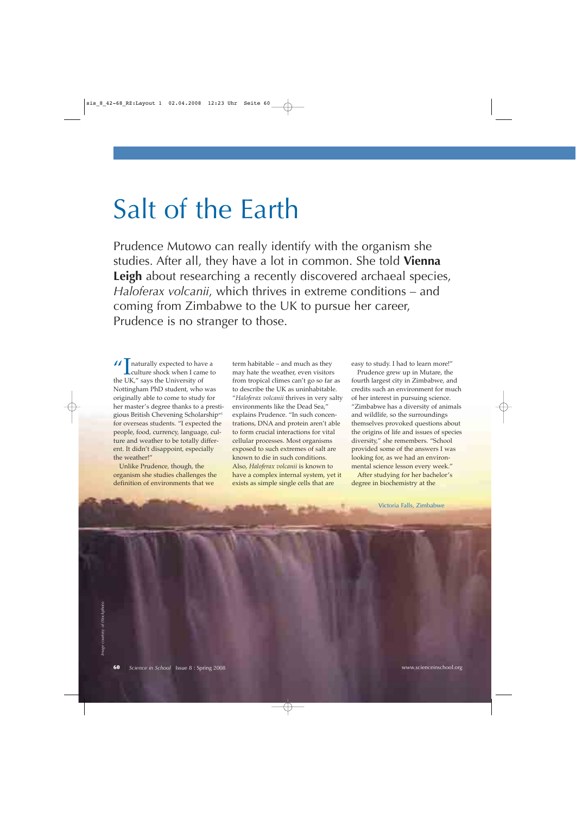# Salt of the Earth

Prudence Mutowo can really identify with the organism she studies. After all, they have a lot in common. She told **Vienna Leigh** about researching a recently discovered archaeal species, *Haloferax volcanii*, which thrives in extreme conditions – and coming from Zimbabwe to the UK to pursue her career, Prudence is no stranger to those.

 $\iint$  naturally expected to have a<br>culture shock when I came the LIK  $\mathcal{C}$  cave the University of culture shock when I came to the UK," says the University of Nottingham PhD student, who was originally able to come to study for her master's degree thanks to a prestigious British Chevening Scholarshipw1 for overseas students. "I expected the people, food, currency, language, culture and weather to be totally different. It didn't disappoint, especially the weather!"

Unlike Prudence, though, the organism she studies challenges the definition of environments that we

term habitable – and much as they may hate the weather, even visitors from tropical climes can't go so far as to describe the UK as uninhabitable. "*Haloferax volcanii* thrives in very salty environments like the Dead Sea," explains Prudence. "In such concentrations, DNA and protein aren't able to form crucial interactions for vital cellular processes. Most organisms exposed to such extremes of salt are known to die in such conditions. Also, *Haloferax volcanii* is known to have a complex internal system, yet it exists as simple single cells that are

easy to study. I had to learn more!"

Prudence grew up in Mutare, the fourth largest city in Zimbabwe, and credits such an environment for much of her interest in pursuing science. "Zimbabwe has a diversity of animals and wildlife, so the surroundings themselves provoked questions about the origins of life and issues of species diversity," she remembers. "School provided some of the answers I was looking for, as we had an environmental science lesson every week."

After studying for her bachelor's degree in biochemistry at the

Victoria Falls, Zimbabwe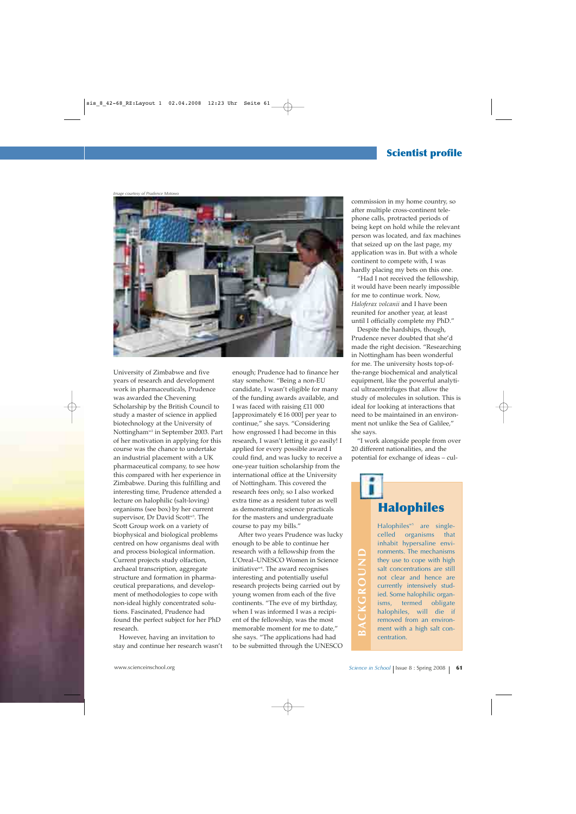## **Scientist profile**

*Image courtesy of Prudence Motowo*



University of Zimbabwe and five years of research and development work in pharmaceuticals, Prudence was awarded the Chevening Scholarship by the British Council to study a master of science in applied biotechnology at the University of Nottingham<sup>w2</sup> in September 2003. Part of her motivation in applying for this course was the chance to undertake an industrial placement with a UK pharmaceutical company, to see how this compared with her experience in Zimbabwe. During this fulfilling and interesting time, Prudence attended a lecture on halophilic (salt-loving) organisms (see box) by her current supervisor, Dr David Scott<sup>w3</sup>. The Scott Group work on a variety of biophysical and biological problems centred on how organisms deal with and process biological information. Current projects study olfaction, archaeal transcription, aggregate structure and formation in pharmaceutical preparations, and development of methodologies to cope with non-ideal highly concentrated solutions. Fascinated, Prudence had found the perfect subject for her PhD research.

However, having an invitation to stay and continue her research wasn't enough; Prudence had to finance her stay somehow. "Being a non-EU candidate, I wasn't eligible for many of the funding awards available, and I was faced with raising £11 000 [approximately  $\in$  16 000] per year to continue," she says. "Considering how engrossed I had become in this research, I wasn't letting it go easily! I applied for every possible award I could find, and was lucky to receive a one-year tuition scholarship from the international office at the University of Nottingham. This covered the research fees only, so I also worked extra time as a resident tutor as well as demonstrating science practicals for the masters and undergraduate course to pay my bills."

After two years Prudence was lucky enough to be able to continue her research with a fellowship from the L'Oreal–UNESCO Women in Science initiative $w<sup>4</sup>$ . The award recognises interesting and potentially useful research projects being carried out by young women from each of the five continents. "The eve of my birthday, when I was informed I was a recipient of the fellowship, was the most memorable moment for me to date," she says. "The applications had had to be submitted through the UNESCO and process biological information. research with a fellowship from the Current projects study oflaction, *L'Oreal*-UNESCO Women in Science in School | said concernent projects being and potentially useful<br>structure and fo

commission in my home country, so after multiple cross-continent telephone calls, protracted periods of being kept on hold while the relevant person was located, and fax machines that seized up on the last page, my application was in. But with a whole continent to compete with, I was hardly placing my bets on this one.

"Had I not received the fellowship, it would have been nearly impossible for me to continue work. Now, *Haloferax volcanii* and I have been reunited for another year, at least until I officially complete my PhD."

Despite the hardships, though, Prudence never doubted that she'd made the right decision. "Researching in Nottingham has been wonderful for me. The university hosts top-ofthe-range biochemical and analytical equipment, like the powerful analytical ultracentrifuges that allow the study of molecules in solution. This is ideal for looking at interactions that need to be maintained in an environment not unlike the Sea of Galilee," she says.

"I work alongside people from over 20 different nationalities, and the potential for exchange of ideas – cul-

## **Halophiles**

Halophiles $^{w5}$  are singlecelled organisms that inhabit hypersaline environments. The mechanisms they use to cope with high salt concentrations are still not clear and hence are currently intensively studied. Some halophilic organisms, termed obligate halophiles, will die if removed from an environment with a high salt concentration.